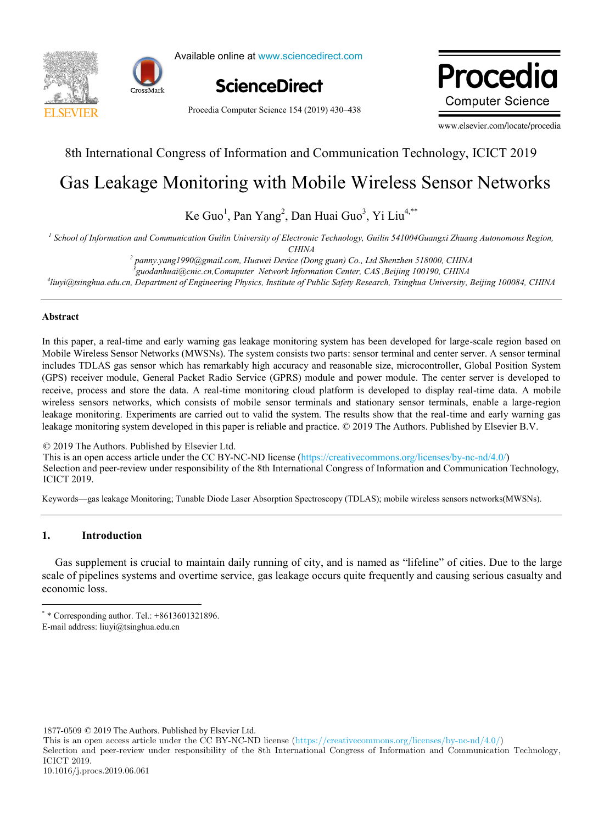



Available online at www.sciencedirect.com **Procedia Computer Science** Computer Science of Procedia Computer Science



Procedia Computer Science 154 (2019) 430–438

ww.elsevier.com/locate/procedia **Computer Science** 

www.elsevier.com/locate/procedia

# 8th International Congress of Information and Communication Technology, ICICT 2019

# as Leakage Monitoring with Mobile Wireless Sensor Netwol  $G_{\mathcal{F}}$  ,  $I_{\mathcal{F}}$  ,  $I_{\mathcal{F}}$  ,  $M_{\mathcal{F}}$  is sensor in the Mobile Wireless  $G_{\mathcal{F}}$  and  $M_{\mathcal{F}}$  and  $J_{\mathcal{F}}$ Gas Leakage Monitoring with Mobile Wireless Sensor Networks

Ke Guo<sup>1</sup>, Pan Yang<sup>2</sup>, Dan Huai Guo<sup>3</sup>, Yi Liu<sup>4,\*\*</sup> *<sup>1</sup> School of Information and Communication Guilin University of Electronic Technology, Guilin 541004Guangxi Zhuang Autonomous Region,*  Ke Guo<sup>1</sup>, Pan Yang<sup>2</sup>, Dan Huai Guo<sup>3</sup>, Yi Liu<sup>4,\*\*</sup>

<sup>1</sup> School of Information and Communication Guilin University of Electronic Technology, Guilin 541004Guangxi Zhuang Autonomous Region, *CHINA <sup>2</sup> panny.yang1990@gmail.com, Huawei Device (Dong guan) Co., Ltd Shenzhen 518000, CHINA*

*CHINA*

<sup>2</sup> panny.yang1990@gmail.com, Huawei Device (Dong guan) Co., Ltd Shenzhen 518000, CHINA

panny.yang1990(agman.com, riuawet Device (Dong gaan) Co., Eia shenzhen 916000, Crinva<br><sup>3</sup>guodanhuai@cnic.cn,Comuputer Network Information Center, CAS ,Beijing 100190, CHINA

*4 liuyi@tsinghua.edu.cn, Department of Engineering Physics, Institute of Public Safety Research, Tsinghua University, Beijing 100084, CHINA*

# **Abstract**  $T_{\text{non-}i}$  is a set  $T_{\text{non-}i}$  in modern era ,  $T_{\text{non-}i}$  in  $T_{\text{non-}i}$  , it discusses set  $T_{\text{non-}i}$ **Abstract**

In this paper, a real-time and early warning gas leakage monitoring system has been developed for large-scale region based on Mobile Wireless Sensor Networks (MWSNs). The system consists two parts: sensor terminal and center server. A sensor terminal includes TDLAS gas sensor which has remarkably high accuracy and reasonable size, microcontroller, Global Position System (GPS) receiver module, General Packet Radio Service (GPRS) module and power module. The center server is developed to wireless sensors networks, which consists of mobile sensor terminals and stationary sensor terminals, enable a large-region leakage monitoring. Experiments are carried out to valid the system. The results show that the real-time and early warning gas Peer-review under review under review under review under review under review under review under review under the 8th International Congress of International Communication and Communication and Communication and Communicati leakage monitoring system developed in this paper is reliable and practice. © 2019 The Authors. Published by Elsevier B.V. receive, process and store the data. A real-time monitoring cloud platform is developed to display real-time data. A mobile

© 2019 The Authors. Published by Elsevier Ltd. C 2019 The Authors. Published by Elsevier Eta.<br>This is an open access article under the CC BY-NC-ND license (https://creativecommons.org/licenses/by-nc-nd/4.0/)

Selection and peer-review under responsibility of the 8th International Congress of Information and Communication Technology, ICICT 2019. Person under review under responsibility of the 8th International Congress of Information and Communication Technology,

 $\overline{\ }$ Keywords—gas leakage Monitoring; Tunable Diode Laser Absorption Spectroscopy (TDLAS); mobile wireless sensors networks(MWSNs). Keywords—gas leakage Monitoring; Tunable Diode Laser Absorption Spectroscopy (TDLAS); mobile wireless sensors networks(MWSNs).

#### **1. Introduction**  $\mathbf{1}$ . Duan Peng (1983-), male, Han nationality, Yantai, Shandong, a lecturer at the Innovation and Entrepreneurship Center of Shandong Business

economic loss.

Gas supplement is crucial to maintain daily running of city, and is named as "lifeline" of cities. Due to the large scale of pipelines systems and overtime service, gas leakage occurs quite frequently and causing serious casualty and economic loss.

1877-0509 © 2019 The Authors. Published by Elsevier Ltd.

This is an open access article under the CC BY-NC-ND license (https://creativecommons.org/licenses/by-nc-nd/4.0/)

Selection and peer-review under responsibility of the 8th International Congress of Information and Communication Technology, ICICT 2019.

Detailed address: Shandong Business Institute, Jinhai Road, High-tech Zone, Yantai, Shandong, China,zip code: 264670, contact number: \* \* Corresponding author. Tel.: +8613601321896.

E-mail address: liuyi@tsinghua.edu.cn \* \* Corresponding author. Tel.: +8613601321896.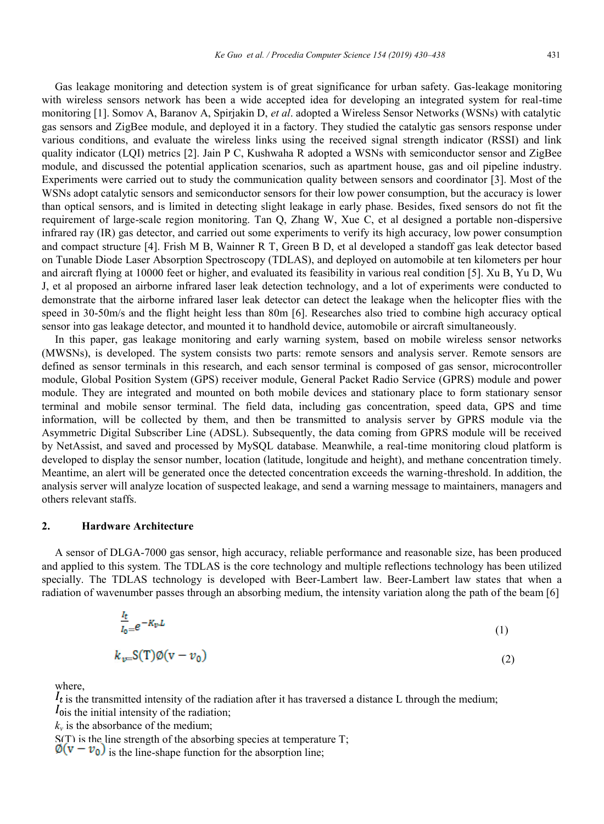Gas leakage monitoring and detection system is of great significance for urban safety. Gas-leakage monitoring with wireless sensors network has been a wide accepted idea for developing an integrated system for real-time monitoring [1]. Somov A, Baranov A, Spirjakin D, *et al*. adopted a Wireless Sensor Networks (WSNs) with catalytic gas sensors and ZigBee module, and deployed it in a factory. They studied the catalytic gas sensors response under various conditions, and evaluate the wireless links using the received signal strength indicator (RSSI) and link quality indicator (LQI) metrics [2]. Jain P C, Kushwaha R adopted a WSNs with semiconductor sensor and ZigBee module, and discussed the potential application scenarios, such as apartment house, gas and oil pipeline industry. Experiments were carried out to study the communication quality between sensors and coordinator [3]. Most of the WSNs adopt catalytic sensors and semiconductor sensors for their low power consumption, but the accuracy is lower than optical sensors, and is limited in detecting slight leakage in early phase. Besides, fixed sensors do not fit the requirement of large-scale region monitoring. Tan Q, Zhang W, Xue C, et al designed a portable non-dispersive infrared ray (IR) gas detector, and carried out some experiments to verify its high accuracy, low power consumption and compact structure [4]. Frish M B, Wainner R T, Green B D, et al developed a standoff gas leak detector based on Tunable Diode Laser Absorption Spectroscopy (TDLAS), and deployed on automobile at ten kilometers per hour and aircraft flying at 10000 feet or higher, and evaluated its feasibility in various real condition [5]. Xu B, Yu D, Wu J, et al proposed an airborne infrared laser leak detection technology, and a lot of experiments were conducted to demonstrate that the airborne infrared laser leak detector can detect the leakage when the helicopter flies with the speed in 30-50m/s and the flight height less than 80m [6]. Researches also tried to combine high accuracy optical sensor into gas leakage detector, and mounted it to handhold device, automobile or aircraft simultaneously.

In this paper, gas leakage monitoring and early warning system, based on mobile wireless sensor networks (MWSNs), is developed. The system consists two parts: remote sensors and analysis server. Remote sensors are defined as sensor terminals in this research, and each sensor terminal is composed of gas sensor, microcontroller module, Global Position System (GPS) receiver module, General Packet Radio Service (GPRS) module and power module. They are integrated and mounted on both mobile devices and stationary place to form stationary sensor terminal and mobile sensor terminal. The field data, including gas concentration, speed data, GPS and time information, will be collected by them, and then be transmitted to analysis server by GPRS module via the Asymmetric Digital Subscriber Line (ADSL). Subsequently, the data coming from GPRS module will be received by NetAssist, and saved and processed by MySQL database. Meanwhile, a real-time monitoring cloud platform is developed to display the sensor number, location (latitude, longitude and height), and methane concentration timely. Meantime, an alert will be generated once the detected concentration exceeds the warning-threshold. In addition, the analysis server will analyze location of suspected leakage, and send a warning message to maintainers, managers and others relevant staffs.

# **2. Hardware Architecture**

A sensor of DLGA-7000 gas sensor, high accuracy, reliable performance and reasonable size, has been produced and applied to this system. The TDLAS is the core technology and multiple reflections technology has been utilized specially. The TDLAS technology is developed with Beer-Lambert law. Beer-Lambert law states that when a radiation of wavenumber passes through an absorbing medium, the intensity variation along the path of the beam [6]

$$
\frac{t_t}{t_0} = e^{-K_V L}
$$
\n
$$
k_v = S(T)\emptyset(v - v_0)
$$
\n
$$
(2)
$$

where,

 $I_t$  is the transmitted intensity of the radiation after it has traversed a distance L through the medium;  $I_{\text{0}}$  is the initial intensity of the radiation;

 $k<sub>v</sub>$  is the absorbance of the medium;

S(T) is the line strength of the absorbing species at temperature T;

 $\phi(\mathbf{v}-\mathbf{v_0})$  is the line-shape function for the absorption line;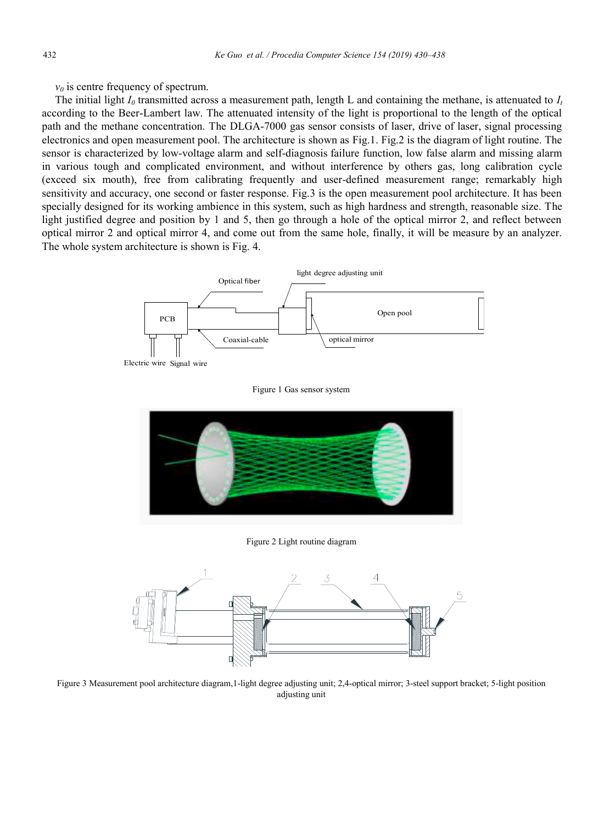$v_0$  is centre frequency of spectrum.

The initial light  $I_0$  transmitted across a measurement path, length L and containing the methane, is attenuated to  $I_t$ according to the Beer-Lambert law. The attenuated intensity of the light is proportional to the length of the optical path and the methane concentration. The DLGA-7000 gas sensor consists of laser, drive of laser, signal processing electronics and open measurement pool. The architecture is shown as Fig.1. Fig.2 is the diagram of light routine. The sensor is characterized by low-voltage alarm and self-diagnosis failure function, low false alarm and missing alarm in various tough and complicated environment, and without interference by others gas, long calibration cycle (exceed six mouth), free from calibrating frequently and user-defined measurement range; remarkably high sensitivity and accuracy, one second or faster response. Fig.3 is the open measurement pool architecture. It has been specially designed for its working ambience in this system, such as high hardness and strength, reasonable size. The light justified degree and position by 1 and 5, then go through a hole of the optical mirror 2, and reflect between optical mirror 2 and optical mirror 4, and come out from the same hole, finally, it will be measure by an analyzer. The whole system architecture is shown is Fig. 4.







Figure 2 Light routine diagram



Figure 3 Measurement pool architecture diagram,1-light degree adjusting unit; 2,4-optical mirror; 3-steel support bracket; 5-light position adjusting unit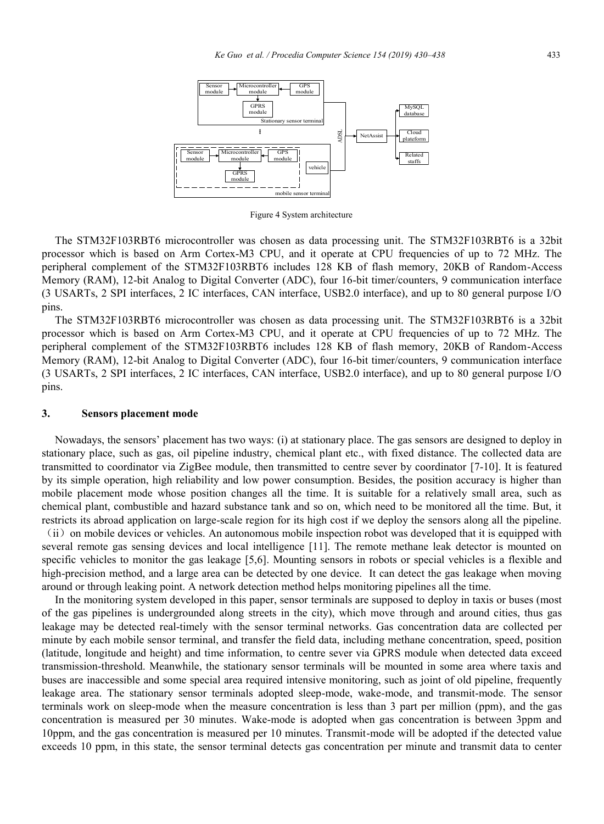

Figure 4 System architecture

The STM32F103RBT6 microcontroller was chosen as data processing unit. The STM32F103RBT6 is a 32bit processor which is based on Arm Cortex-M3 CPU, and it operate at CPU frequencies of up to 72 MHz. The peripheral complement of the STM32F103RBT6 includes 128 KB of flash memory, 20KB of Random-Access Memory (RAM), 12-bit Analog to Digital Converter (ADC), four 16-bit timer/counters, 9 communication interface (3 USARTs, 2 SPI interfaces, 2 IC interfaces, CAN interface, USB2.0 interface), and up to 80 general purpose I/O pins.

The STM32F103RBT6 microcontroller was chosen as data processing unit. The STM32F103RBT6 is a 32bit processor which is based on Arm Cortex-M3 CPU, and it operate at CPU frequencies of up to 72 MHz. The peripheral complement of the STM32F103RBT6 includes 128 KB of flash memory, 20KB of Random-Access Memory (RAM), 12-bit Analog to Digital Converter (ADC), four 16-bit timer/counters, 9 communication interface (3 USARTs, 2 SPI interfaces, 2 IC interfaces, CAN interface, USB2.0 interface), and up to 80 general purpose I/O pins.

#### **3. Sensors placement mode**

Nowadays, the sensors' placement has two ways: (i) at stationary place. The gas sensors are designed to deploy in stationary place, such as gas, oil pipeline industry, chemical plant etc., with fixed distance. The collected data are transmitted to coordinator via ZigBee module, then transmitted to centre sever by coordinator [7-10]. It is featured by its simple operation, high reliability and low power consumption. Besides, the position accuracy is higher than mobile placement mode whose position changes all the time. It is suitable for a relatively small area, such as chemical plant, combustible and hazard substance tank and so on, which need to be monitored all the time. But, it restricts its abroad application on large-scale region for its high cost if we deploy the sensors along all the pipeline.

(ii) on mobile devices or vehicles. An autonomous mobile inspection robot was developed that it is equipped with several remote gas sensing devices and local intelligence [11]. The remote methane leak detector is mounted on specific vehicles to monitor the gas leakage [5,6]. Mounting sensors in robots or special vehicles is a flexible and high-precision method, and a large area can be detected by one device. It can detect the gas leakage when moving around or through leaking point. A network detection method helps monitoring pipelines all the time.

In the monitoring system developed in this paper, sensor terminals are supposed to deploy in taxis or buses (most of the gas pipelines is undergrounded along streets in the city), which move through and around cities, thus gas leakage may be detected real-timely with the sensor terminal networks. Gas concentration data are collected per minute by each mobile sensor terminal, and transfer the field data, including methane concentration, speed, position (latitude, longitude and height) and time information, to centre sever via GPRS module when detected data exceed transmission-threshold. Meanwhile, the stationary sensor terminals will be mounted in some area where taxis and buses are inaccessible and some special area required intensive monitoring, such as joint of old pipeline, frequently leakage area. The stationary sensor terminals adopted sleep-mode, wake-mode, and transmit-mode. The sensor terminals work on sleep-mode when the measure concentration is less than 3 part per million (ppm), and the gas concentration is measured per 30 minutes. Wake-mode is adopted when gas concentration is between 3ppm and 10ppm, and the gas concentration is measured per 10 minutes. Transmit-mode will be adopted if the detected value exceeds 10 ppm, in this state, the sensor terminal detects gas concentration per minute and transmit data to center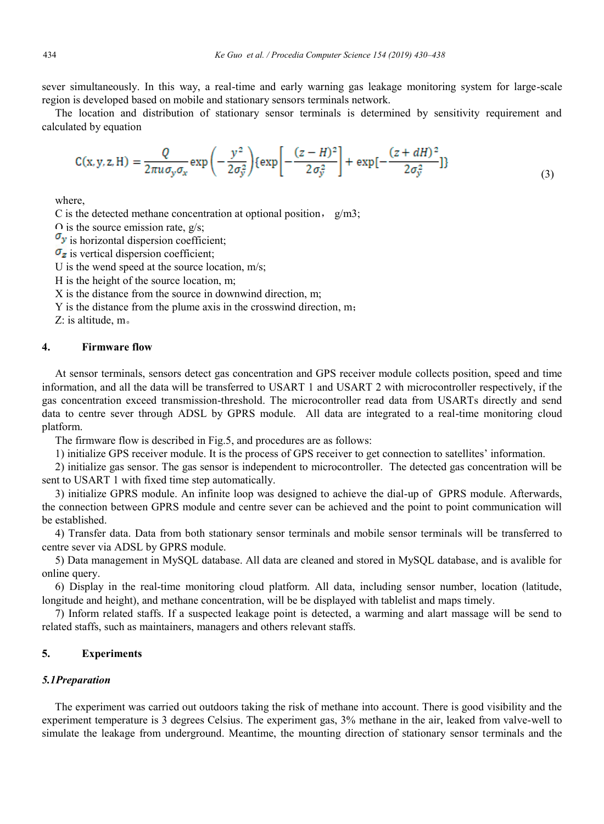sever simultaneously. In this way, a real-time and early warning gas leakage monitoring system for large-scale region is developed based on mobile and stationary sensors terminals network.

The location and distribution of stationary sensor terminals is determined by sensitivity requirement and calculated by equation

$$
C(x, y, z, H) = \frac{Q}{2\pi u \sigma_y \sigma_x} \exp\left(-\frac{y^2}{2\sigma_y^2}\right) \{ \exp\left[-\frac{(z-H)^2}{2\sigma_y^2}\right] + \exp\left[-\frac{(z+dH)^2}{2\sigma_y^2}\right] \}
$$
(3)

where,

C is the detected methane concentration at optional position,  $g/m3$ ;

 $\Omega$  is the source emission rate, g/s;

 $\sigma_y$  is horizontal dispersion coefficient;

 $\sigma_z$  is vertical dispersion coefficient;

U is the wend speed at the source location, m/s;

H is the height of the source location, m;

X is the distance from the source in downwind direction, m;

Y is the distance from the plume axis in the crosswind direction, m;

Z: is altitude, m。

# **4. Firmware flow**

At sensor terminals, sensors detect gas concentration and GPS receiver module collects position, speed and time information, and all the data will be transferred to USART 1 and USART 2 with microcontroller respectively, if the gas concentration exceed transmission-threshold. The microcontroller read data from USARTs directly and send data to centre sever through ADSL by GPRS module. All data are integrated to a real-time monitoring cloud platform.

The firmware flow is described in Fig.5, and procedures are as follows:

1) initialize GPS receiver module. It is the process of GPS receiver to get connection to satellites' information.

2) initialize gas sensor. The gas sensor is independent to microcontroller. The detected gas concentration will be sent to USART 1 with fixed time step automatically.

3) initialize GPRS module. An infinite loop was designed to achieve the dial-up of GPRS module. Afterwards, the connection between GPRS module and centre sever can be achieved and the point to point communication will be established.

4) Transfer data. Data from both stationary sensor terminals and mobile sensor terminals will be transferred to centre sever via ADSL by GPRS module.

5) Data management in MySQL database. All data are cleaned and stored in MySQL database, and is avalible for online query.

6) Display in the real-time monitoring cloud platform. All data, including sensor number, location (latitude, longitude and height), and methane concentration, will be be displayed with tablelist and maps timely.

7) Inform related staffs. If a suspected leakage point is detected, a warming and alart massage will be send to related staffs, such as maintainers, managers and others relevant staffs.

# **5. Experiments**

# *5.1Preparation*

The experiment was carried out outdoors taking the risk of methane into account. There is good visibility and the experiment temperature is 3 degrees Celsius. The experiment gas, 3% methane in the air, leaked from valve-well to simulate the leakage from underground. Meantime, the mounting direction of stationary sensor terminals and the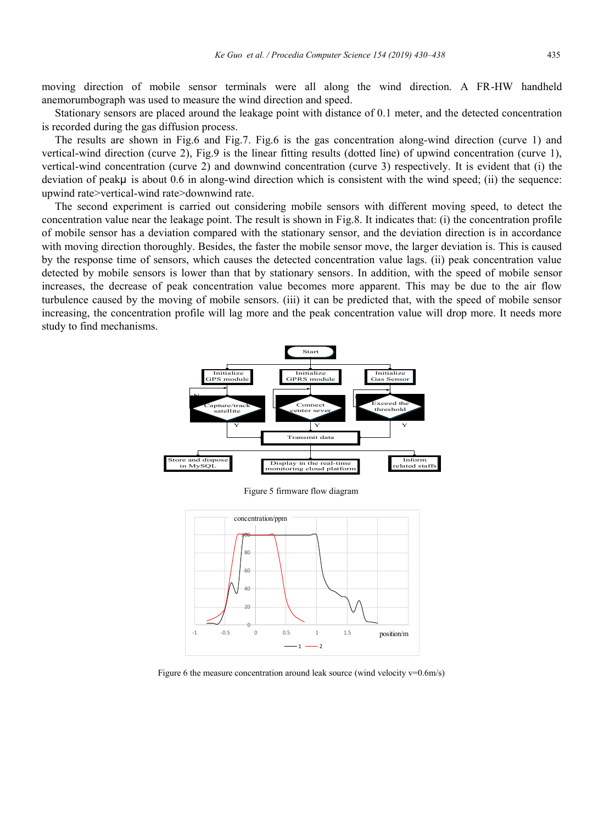moving direction of mobile sensor terminals were all along the wind direction. A FR-HW handheld anemorumbograph was used to measure the wind direction and speed.

Stationary sensors are placed around the leakage point with distance of 0.1 meter, and the detected concentration is recorded during the gas diffusion process.

The results are shown in Fig.6 and Fig.7. Fig.6 is the gas concentration along-wind direction (curve 1) and vertical-wind direction (curve 2), Fig.9 is the linear fitting results (dotted line) of upwind concentration (curve 1), vertical-wind concentration (curve 2) and downwind concentration (curve 3) respectively. It is evident that (i) the deviation of peakμ is about 0.6 in along-wind direction which is consistent with the wind speed; (ii) the sequence: upwind rate>vertical-wind rate>downwind rate.

The second experiment is carried out considering mobile sensors with different moving speed, to detect the concentration value near the leakage point. The result is shown in Fig.8. It indicates that: (i) the concentration profile of mobile sensor has a deviation compared with the stationary sensor, and the deviation direction is in accordance with moving direction thoroughly. Besides, the faster the mobile sensor move, the larger deviation is. This is caused by the response time of sensors, which causes the detected concentration value lags. (ii) peak concentration value detected by mobile sensors is lower than that by stationary sensors. In addition, with the speed of mobile sensor increases, the decrease of peak concentration value becomes more apparent. This may be due to the air flow turbulence caused by the moving of mobile sensors. (iii) it can be predicted that, with the speed of mobile sensor increasing, the concentration profile will lag more and the peak concentration value will drop more. It needs more study to find mechanisms.



Figure 6 the measure concentration around leak source (wind velocity  $v=0.6$ m/s)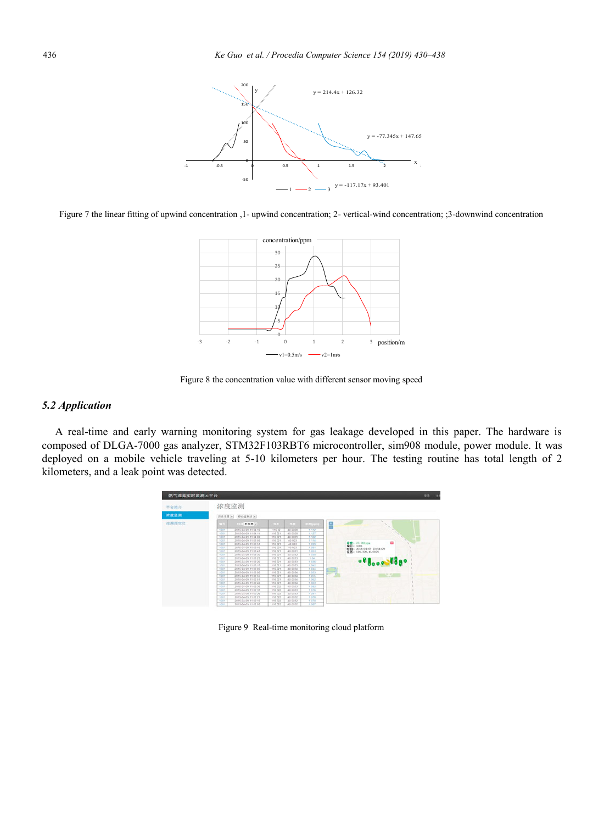

Figure 7 the linear fitting of upwind concentration ,1- upwind concentration; 2- vertical-wind concentration; ;3-downwind concentration



Figure 8 the concentration value with different sensor moving speed

# *5.2 Application*

A real-time and early warning monitoring system for gas leakage developed in this paper. The hardware is composed of DLGA-7000 gas analyzer, STM32F103RBT6 microcontroller, sim908 module, power module. It was deployed on a mobile vehicle traveling at 5-10 kilometers per hour. The testing routine has total length of 2 kilometers, and a leak point was detected.

| 燃气泄露实时监测云平台 |                             |            |         |                   | 97 11                                  |
|-------------|-----------------------------|------------|---------|-------------------|----------------------------------------|
| 平台简介        | 浓度监测                        |            |         |                   |                                        |
| 浓度监测        | <b>西北市度 → 移动盗制点 →</b>       |            |         |                   |                                        |
| 泄漏源定位       | $-1.898 -$<br>œ             | <b>COL</b> | $\sim$  | <b>IF Ripper)</b> | 묨                                      |
|             | 1001<br>2015-04-09 11:04:16 | 116.32     | 40 0028 | 1.112             |                                        |
|             | 2015-04-09 11:04 11<br>1001 | 116,321    | 40,0028 | 3.527             |                                        |
|             | 1001<br>2015-04-09 11:04:00 | 116.321    | 40 0029 | 1.122             |                                        |
|             | 2015-04-09 11:03:56<br>1001 | 116.321    | 40.003  | \$ 114            |                                        |
|             | 2015-04-09 11 03:51<br>1001 | 116 321    | 40.003  | 1.099             | ٠<br>来奇: 27.360ccs                     |
|             | 1001<br>2015-04-09 11:03:46 | 116.321    | 40.003  | 1.081             | 60% : 1001<br>■看解: 2015-04-09 10:54:29 |
|             | 1001<br>2010/04/09 11:03:41 | 116.321    | 40,0031 | 1.053             | 62回: 116.326, 40.0025                  |
|             | 2015-04-09 11:03:30<br>1001 | 116.321    | 40.0032 | 1.048             |                                        |
|             | 2015-04-09 11:03:25<br>1001 | 116 321    | 40.0033 | 1.04              |                                        |
|             | 2015-04-09 11:03:20<br>1001 | 116,321    | 40.0033 | 1.636             | ·· Bookler                             |
|             | 1001<br>2015-04-09 11:03:15 | 116, 321   | 40.0033 | 1.042             |                                        |
|             | 1001<br>2015-04-09 11:03:05 | 116.321    | 40.0034 | 1.044             |                                        |
|             | 1001<br>2015-04-09 11:03:00 | 116.321    | 40,0034 | 1.053             |                                        |
|             | 1001<br>2015-04-09 11:02:55 | 116.321    | 40.0034 | 1055              | LND P2                                 |
|             | 2010-04-09 11:02:51<br>1001 | 116, 321   | 40,0034 | 1.062             |                                        |
|             | 2015-04-09 11:02:46<br>1001 | 116.321    | 40.0034 | 1.063             |                                        |
|             | 2015-04-09 11:02:36<br>1001 | 116 322    | 40.0033 | 1.092             |                                        |
|             | 1001<br>2015-04-09 11:02:31 | 116.322    | 40.0033 | 1.676             |                                        |
|             | 1001<br>2010-04-09 11:02:26 | 116, 322   | 40,0033 | 1.081             |                                        |
|             | 2015-04-09 11:02:21<br>1001 | 116.322    | 40.0032 | 1.678             |                                        |
|             | 1001<br>2015-04-09 11:02:15 | 116, 322   | 40.0032 | 1.071             |                                        |
|             | 1001<br>2015-04-09 11:02:05 | 116,322    | 40.0032 | 1.057             |                                        |

Figure 9 Real-time monitoring cloud platform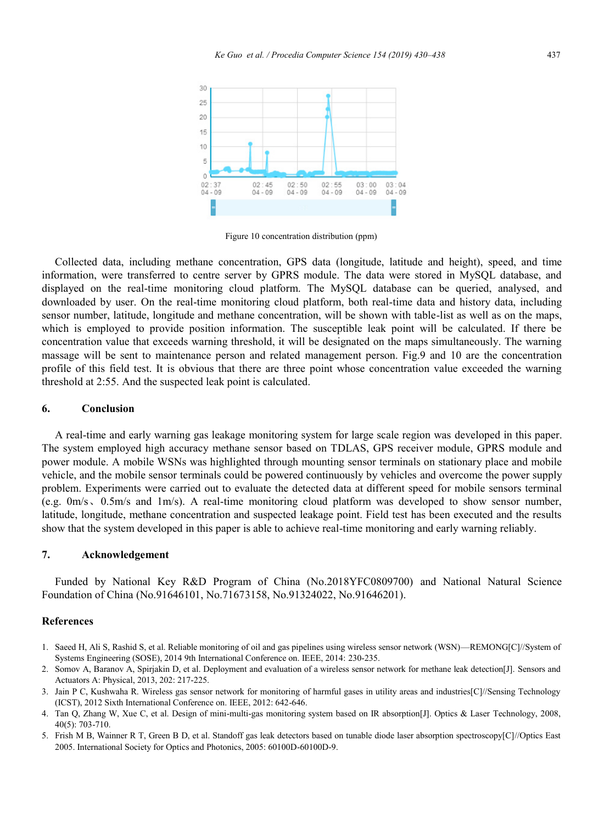

Figure 10 concentration distribution (ppm)

Collected data, including methane concentration, GPS data (longitude, latitude and height), speed, and time information, were transferred to centre server by GPRS module. The data were stored in MySQL database, and displayed on the real-time monitoring cloud platform. The MySQL database can be queried, analysed, and downloaded by user. On the real-time monitoring cloud platform, both real-time data and history data, including sensor number, latitude, longitude and methane concentration, will be shown with table-list as well as on the maps, which is employed to provide position information. The susceptible leak point will be calculated. If there be concentration value that exceeds warning threshold, it will be designated on the maps simultaneously. The warning massage will be sent to maintenance person and related management person. Fig.9 and 10 are the concentration profile of this field test. It is obvious that there are three point whose concentration value exceeded the warning threshold at 2:55. And the suspected leak point is calculated.

# **6. Conclusion**

A real-time and early warning gas leakage monitoring system for large scale region was developed in this paper. The system employed high accuracy methane sensor based on TDLAS, GPS receiver module, GPRS module and power module. A mobile WSNs was highlighted through mounting sensor terminals on stationary place and mobile vehicle, and the mobile sensor terminals could be powered continuously by vehicles and overcome the power supply problem. Experiments were carried out to evaluate the detected data at different speed for mobile sensors terminal (e.g. 0m/s、0.5m/s and 1m/s). A real-time monitoring cloud platform was developed to show sensor number, latitude, longitude, methane concentration and suspected leakage point. Field test has been executed and the results show that the system developed in this paper is able to achieve real-time monitoring and early warning reliably.

# **7. Acknowledgement**

Funded by National Key R&D Program of China (No.2018YFC0809700) and National Natural Science Foundation of China (No.91646101, No.71673158, No.91324022, No.91646201).

### **References**

- 1. Saeed H, Ali S, Rashid S, et al. Reliable monitoring of oil and gas pipelines using wireless sensor network (WSN)—REMONG[C]//System of Systems Engineering (SOSE), 2014 9th International Conference on. IEEE, 2014: 230-235.
- 2. Somov A, Baranov A, Spirjakin D, et al. Deployment and evaluation of a wireless sensor network for methane leak detection[J]. Sensors and Actuators A: Physical, 2013, 202: 217-225.
- 3. Jain P C, Kushwaha R. Wireless gas sensor network for monitoring of harmful gases in utility areas and industries[C]//Sensing Technology (ICST), 2012 Sixth International Conference on. IEEE, 2012: 642-646.
- 4. Tan Q, Zhang W, Xue C, et al. Design of mini-multi-gas monitoring system based on IR absorption[J]. Optics & Laser Technology, 2008, 40(5): 703-710.
- 5. Frish M B, Wainner R T, Green B D, et al. Standoff gas leak detectors based on tunable diode laser absorption spectroscopy[C]//Optics East 2005. International Society for Optics and Photonics, 2005: 60100D-60100D-9.